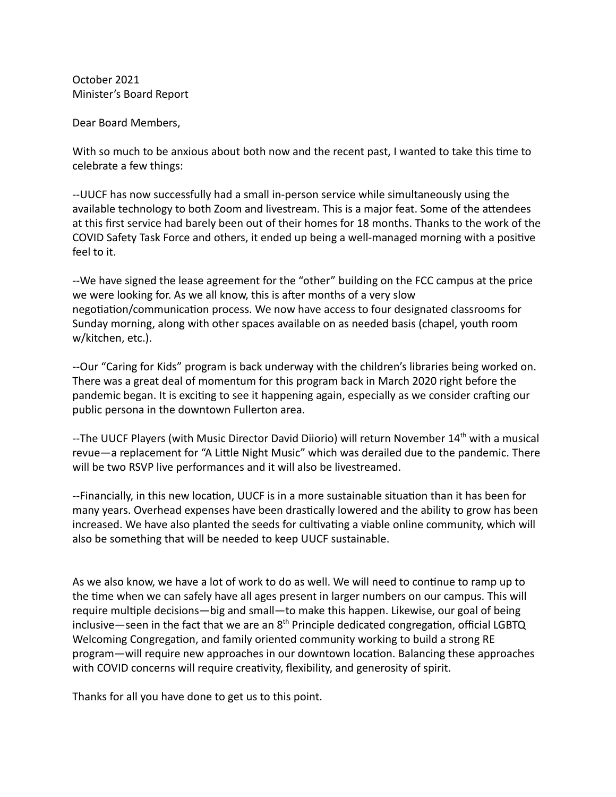October 2021 Minister's Board Report

Dear Board Members,

With so much to be anxious about both now and the recent past, I wanted to take this time to celebrate a few things:

--UUCF has now successfully had a small in-person service while simultaneously using the available technology to both Zoom and livestream. This is a major feat. Some of the attendees at this first service had barely been out of their homes for 18 months. Thanks to the work of the COVID Safety Task Force and others, it ended up being a well-managed morning with a positive feel to it.

--We have signed the lease agreement for the "other" building on the FCC campus at the price we were looking for. As we all know, this is after months of a very slow negotiation/communication process. We now have access to four designated classrooms for Sunday morning, along with other spaces available on as needed basis (chapel, youth room w/kitchen, etc.).

--Our "Caring for Kids" program is back underway with the children's libraries being worked on. There was a great deal of momentum for this program back in March 2020 right before the pandemic began. It is exciting to see it happening again, especially as we consider crafting our public persona in the downtown Fullerton area.

--The UUCF Players (with Music Director David Diiorio) will return November 14<sup>th</sup> with a musical revue—a replacement for "A Little Night Music" which was derailed due to the pandemic. There will be two RSVP live performances and it will also be livestreamed.

--Financially, in this new location, UUCF is in a more sustainable situation than it has been for many years. Overhead expenses have been drastically lowered and the ability to grow has been increased. We have also planted the seeds for cultivating a viable online community, which will also be something that will be needed to keep UUCF sustainable.

As we also know, we have a lot of work to do as well. We will need to continue to ramp up to the time when we can safely have all ages present in larger numbers on our campus. This will require multiple decisions—big and small—to make this happen. Likewise, our goal of being inclusive—seen in the fact that we are an 8<sup>th</sup> Principle dedicated congregation, official LGBTQ Welcoming Congregation, and family oriented community working to build a strong RE program—will require new approaches in our downtown location. Balancing these approaches with COVID concerns will require creativity, flexibility, and generosity of spirit.

Thanks for all you have done to get us to this point.